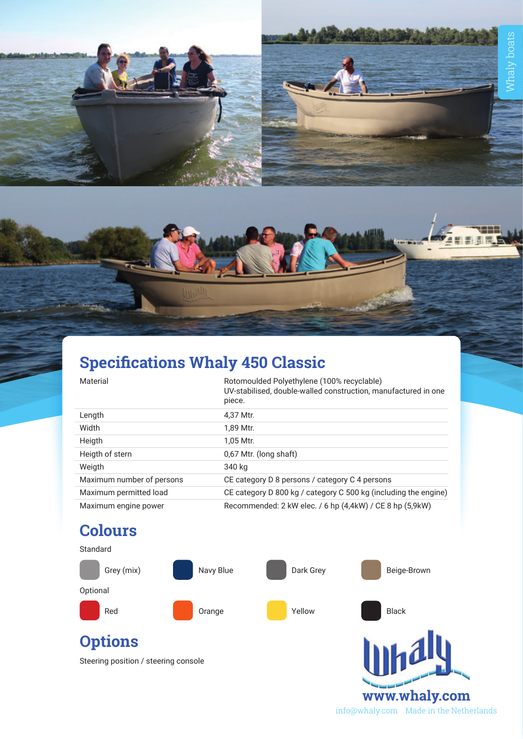

## **Specifications Whaly 450 Classic**

| Material                  | Rotomoulded Polyethylene (100% recyclable)<br>UV-stabilised, double-walled construction, manufactured in one<br>piece. |
|---------------------------|------------------------------------------------------------------------------------------------------------------------|
| Length                    | 4.37 Mtr.                                                                                                              |
| Width                     | 1.89 Mtr.                                                                                                              |
| Heigth                    | 1.05 Mtr.                                                                                                              |
| Heigth of stern           | 0,67 Mtr. (long shaft)                                                                                                 |
| Weigth                    | 340 kg                                                                                                                 |
| Maximum number of persons | CE category D 8 persons / category C 4 persons                                                                         |
| Maximum permitted load    | CE category D 800 kg / category C 500 kg (including the engine)                                                        |
| Maximum engine power      | Recommended: 2 kW elec. / 6 hp (4,4kW) / CE 8 hp (5,9kW)                                                               |

## **Colours**



**www.whaly.com** info@whaly.com Made in the Netherlands